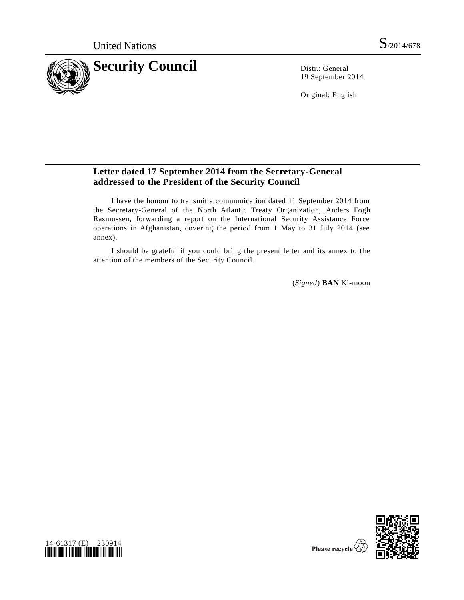

19 September 2014

Original: English

## **Letter dated 17 September 2014 from the Secretary-General addressed to the President of the Security Council**

I have the honour to transmit a communication dated 11 September 2014 from the Secretary-General of the North Atlantic Treaty Organization, Anders Fogh Rasmussen, forwarding a report on the International Security Assistance Force operations in Afghanistan, covering the period from 1 May to 31 July 2014 (see annex).

I should be grateful if you could bring the present letter and its annex to the attention of the members of the Security Council.

(*Signed*) **BAN** Ki-moon



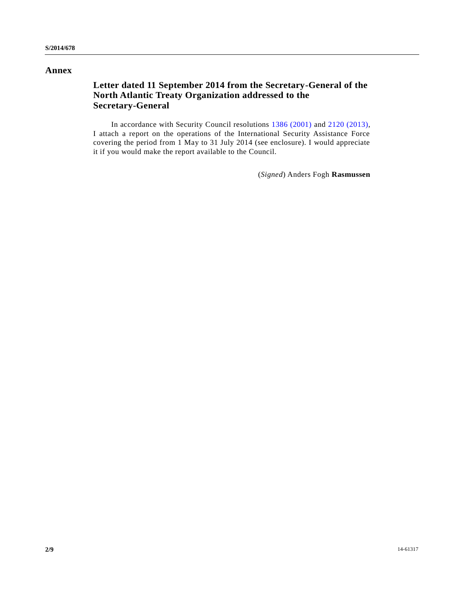### **Annex**

## **Letter dated 11 September 2014 from the Secretary-General of the North Atlantic Treaty Organization addressed to the Secretary-General**

In accordance with Security Council resolutions [1386 \(2001\)](http://undocs.org/S/RES/1386(2001)) and [2120 \(2013\),](http://undocs.org/S/RES/2120(2013)) I attach a report on the operations of the International Security Assistance Force covering the period from 1 May to 31 July 2014 (see enclosure). I would appreciate it if you would make the report available to the Council.

(*Signed*) Anders Fogh **Rasmussen**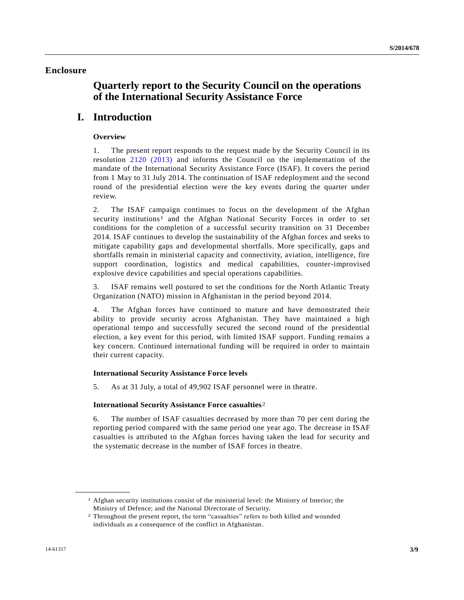### **Enclosure**

# **Quarterly report to the Security Council on the operations of the International Security Assistance Force**

# **I. Introduction**

### **Overview**

1. The present report responds to the request made by the Security Council in its resolution [2120 \(2013\)](http://undocs.org/S/RES/2120(2013)) and informs the Council on the implementation of the mandate of the International Security Assistance Force (ISAF). It covers the period from 1 May to 31 July 2014. The continuation of ISAF redeployment and the second round of the presidential election were the key events during the quarter under review.

2. The ISAF campaign continues to focus on the development of the Afghan security institutions<sup>1</sup> and the Afghan National Security Forces in order to set conditions for the completion of a successful security transition on 31 December 2014. ISAF continues to develop the sustainability of the Afghan forces and seeks to mitigate capability gaps and developmental shortfalls. More specifically, gaps and shortfalls remain in ministerial capacity and connectivity, aviation, intelligence, fire support coordination, logistics and medical capabilities, counter-improvised explosive device capabilities and special operations capabilities.

3. ISAF remains well postured to set the conditions for the North Atlantic Treaty Organization (NATO) mission in Afghanistan in the period beyond 2014.

4. The Afghan forces have continued to mature and have demonstrated their ability to provide security across Afghanistan. They have maintained a high operational tempo and successfully secured the second round of the presidential election, a key event for this period, with limited ISAF support. Funding remains a key concern. Continued international funding will be required in order to maintain their current capacity.

#### **International Security Assistance Force levels**

5. As at 31 July, a total of 49,902 ISAF personnel were in theatre.

#### **International Security Assistance Force casualties**2

6. The number of ISAF casualties decreased by more than 70 per cent during the reporting period compared with the same period one year ago. The decrease in ISAF casualties is attributed to the Afghan forces having taken the lead for security and the systematic decrease in the number of ISAF forces in theatre.

**\_\_\_\_\_\_\_\_\_\_\_\_\_\_\_\_\_\_**

<sup>1</sup> Afghan security institutions consist of the ministerial level: the Ministry of Interior; the Ministry of Defence; and the National Directorate of Security.

<sup>2</sup> Throughout the present report, the term "casualties" refers to both killed and wounded individuals as a consequence of the conflict in Afghanistan.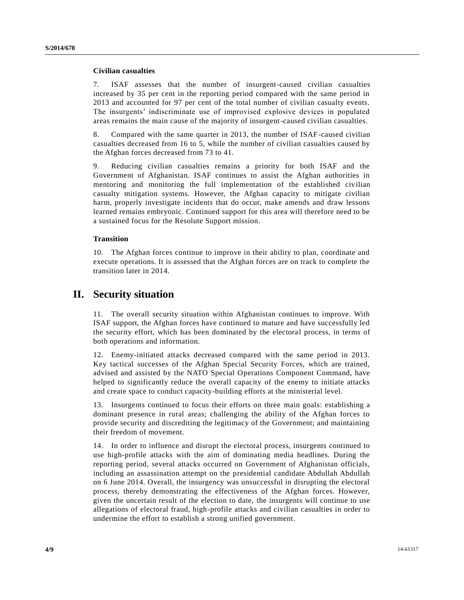#### **Civilian casualties**

7. ISAF assesses that the number of insurgent-caused civilian casualties increased by 35 per cent in the reporting period compared with the same period in 2013 and accounted for 97 per cent of the total number of civilian casualty events. The insurgents' indiscriminate use of improvised explosive devices in populated areas remains the main cause of the majority of insurgent-caused civilian casualties.

8. Compared with the same quarter in 2013, the number of ISAF-caused civilian casualties decreased from 16 to 5, while the number of civilian casualties caused by the Afghan forces decreased from 73 to 41.

9. Reducing civilian casualties remains a priority for both ISAF and the Government of Afghanistan. ISAF continues to assist the Afghan authorities in mentoring and monitoring the full implementation of the established civilian casualty mitigation systems. However, the Afghan capacity to mitigate civilian harm, properly investigate incidents that do occur, make amends and draw lessons learned remains embryonic. Continued support for this area will therefore need to be a sustained focus for the Resolute Support mission.

#### **Transition**

10. The Afghan forces continue to improve in their ability to plan, coordinate and execute operations. It is assessed that the Afghan forces are on track to complete the transition later in 2014.

## **II. Security situation**

11. The overall security situation within Afghanistan continues to improve. With ISAF support, the Afghan forces have continued to mature and have successfully led the security effort, which has been dominated by the electoral process, in terms of both operations and information.

12. Enemy-initiated attacks decreased compared with the same period in 2013. Key tactical successes of the Afghan Special Security Forces, which are trained, advised and assisted by the NATO Special Operations Component Command, have helped to significantly reduce the overall capacity of the enemy to initiate attacks and create space to conduct capacity-building efforts at the ministerial level.

13. Insurgents continued to focus their efforts on three main goals: establishing a dominant presence in rural areas; challenging the ability of the Afghan forces to provide security and discrediting the legitimacy of the Government; and maintaining their freedom of movement.

14. In order to influence and disrupt the electoral process, insurgents continued to use high-profile attacks with the aim of dominating media headlines. During the reporting period, several attacks occurred on Government of Afghanistan officials, including an assassination attempt on the presidential candidate Abdullah Abdullah on 6 June 2014. Overall, the insurgency was unsuccessful in disrupting the electoral process, thereby demonstrating the effectiveness of the Afghan forces. However, given the uncertain result of the election to date, the insurgents will continue to use allegations of electoral fraud, high-profile attacks and civilian casualties in order to undermine the effort to establish a strong unified government.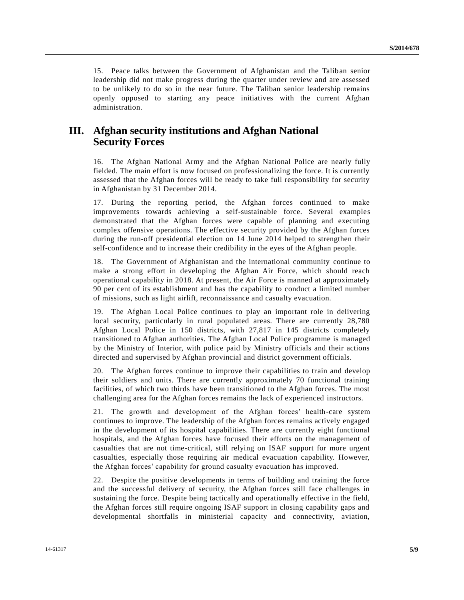15. Peace talks between the Government of Afghanistan and the Taliban senior leadership did not make progress during the quarter under review and are assessed to be unlikely to do so in the near future. The Taliban senior leadership remains openly opposed to starting any peace initiatives with the current Afghan administration.

# **III. Afghan security institutions and Afghan National Security Forces**

16. The Afghan National Army and the Afghan National Police are nearly fully fielded. The main effort is now focused on professionalizing the force. It is currently assessed that the Afghan forces will be ready to take full responsibility for security in Afghanistan by 31 December 2014.

17. During the reporting period, the Afghan forces continued to make improvements towards achieving a self-sustainable force. Several examples demonstrated that the Afghan forces were capable of planning and executing complex offensive operations. The effective security provided by the Afghan forces during the run-off presidential election on 14 June 2014 helped to strengthen their self-confidence and to increase their credibility in the eyes of the Afghan people.

18. The Government of Afghanistan and the international community continue to make a strong effort in developing the Afghan Air Force, which should reach operational capability in 2018. At present, the Air Force is manned at approximately 90 per cent of its establishment and has the capability to conduct a limited number of missions, such as light airlift, reconnaissance and casualty evacuation.

19. The Afghan Local Police continues to play an important role in delivering local security, particularly in rural populated areas. There are currently 28,780 Afghan Local Police in 150 districts, with 27,817 in 145 districts completely transitioned to Afghan authorities. The Afghan Local Police programme is managed by the Ministry of Interior, with police paid by Ministry officials and their actions directed and supervised by Afghan provincial and district government officials.

20. The Afghan forces continue to improve their capabilities to train and develop their soldiers and units. There are currently approximately 70 functional training facilities, of which two thirds have been transitioned to the Afghan forces. The most challenging area for the Afghan forces remains the lack of experienced instructors.

21. The growth and development of the Afghan forces' health-care system continues to improve. The leadership of the Afghan forces remains actively engaged in the development of its hospital capabilities. There are currently eight functional hospitals, and the Afghan forces have focused their efforts on the management of casualties that are not time-critical, still relying on ISAF support for more urgent casualties, especially those requiring air medical evacuation capability. However, the Afghan forces' capability for ground casualty evacuation has improved.

22. Despite the positive developments in terms of building and training the force and the successful delivery of security, the Afghan forces still face challenges in sustaining the force. Despite being tactically and operationally effective in the field, the Afghan forces still require ongoing ISAF support in closing capability gaps and developmental shortfalls in ministerial capacity and connectivity, aviation,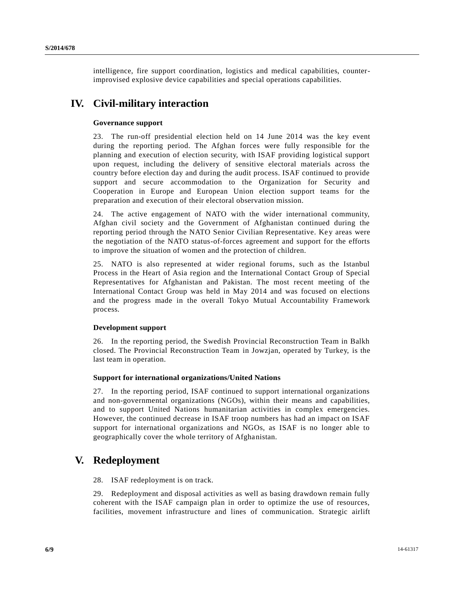intelligence, fire support coordination, logistics and medical capabilities, counterimprovised explosive device capabilities and special operations capabilities.

# **IV. Civil-military interaction**

### **Governance support**

23. The run-off presidential election held on 14 June 2014 was the key event during the reporting period. The Afghan forces were fully responsible for the planning and execution of election security, with ISAF providing logistical support upon request, including the delivery of sensitive electoral materials across the country before election day and during the audit process. ISAF continued to provide support and secure accommodation to the Organization for Security and Cooperation in Europe and European Union election support teams for the preparation and execution of their electoral observation mission.

24. The active engagement of NATO with the wider international community, Afghan civil society and the Government of Afghanistan continued during the reporting period through the NATO Senior Civilian Representative. Key areas were the negotiation of the NATO status-of-forces agreement and support for the efforts to improve the situation of women and the protection of children.

25. NATO is also represented at wider regional forums, such as the Istanbul Process in the Heart of Asia region and the International Contact Group of Special Representatives for Afghanistan and Pakistan. The most recent meeting of the International Contact Group was held in May 2014 and was focused on elections and the progress made in the overall Tokyo Mutual Accountability Framework process.

#### **Development support**

26. In the reporting period, the Swedish Provincial Reconstruction Team in Balkh closed. The Provincial Reconstruction Team in Jowzjan, operated by Turkey, is the last team in operation.

#### **Support for international organizations/United Nations**

27. In the reporting period, ISAF continued to support international organizations and non-governmental organizations (NGOs), within their means and capabilities, and to support United Nations humanitarian activities in complex emergencies. However, the continued decrease in ISAF troop numbers has had an impact on ISAF support for international organizations and NGOs, as ISAF is no longer able to geographically cover the whole territory of Afghanistan.

## **V. Redeployment**

28. ISAF redeployment is on track.

29. Redeployment and disposal activities as well as basing drawdown remain fully coherent with the ISAF campaign plan in order to optimize the use of resources, facilities, movement infrastructure and lines of communication. Strategic airlift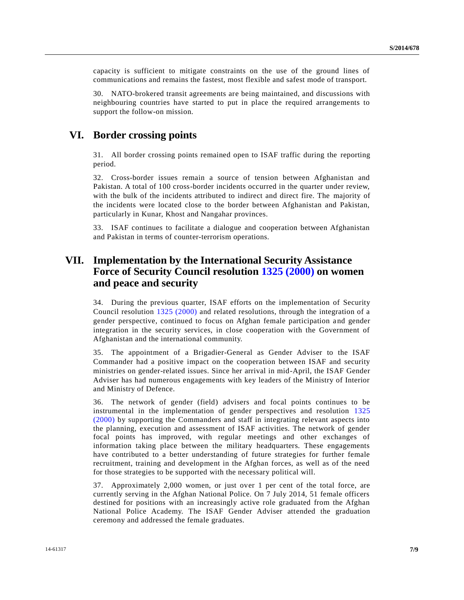capacity is sufficient to mitigate constraints on the use of the ground lines of communications and remains the fastest, most flexible and safest mode of transport.

30. NATO-brokered transit agreements are being maintained, and discussions with neighbouring countries have started to put in place the required arrangements to support the follow-on mission.

## **VI. Border crossing points**

31. All border crossing points remained open to ISAF traffic during the reporting period.

32. Cross-border issues remain a source of tension between Afghanistan and Pakistan. A total of 100 cross-border incidents occurred in the quarter under review, with the bulk of the incidents attributed to indirect and direct fire. The majority of the incidents were located close to the border between Afghanistan and Pakistan, particularly in Kunar, Khost and Nangahar provinces.

33. ISAF continues to facilitate a dialogue and cooperation between Afghanistan and Pakistan in terms of counter-terrorism operations.

# **VII. Implementation by the International Security Assistance Force of Security Council resolution [1325 \(2000\)](http://undocs.org/S/RES/1325(2000)) on women and peace and security**

34. During the previous quarter, ISAF efforts on the implementation of Security Council resolution [1325 \(2000\)](http://undocs.org/S/RES/1325(2000)) and related resolutions, through the integration of a gender perspective, continued to focus on Afghan female participation and gender integration in the security services, in close cooperation with the Government of Afghanistan and the international community.

35. The appointment of a Brigadier-General as Gender Adviser to the ISAF Commander had a positive impact on the cooperation between ISAF and security ministries on gender-related issues. Since her arrival in mid-April, the ISAF Gender Adviser has had numerous engagements with key leaders of the Ministry of Interior and Ministry of Defence.

36. The network of gender (field) advisers and focal points continues to be instrumental in the implementation of gender perspectives and resolution [1325](http://undocs.org/S/RES/1325(2000))  [\(2000\)](http://undocs.org/S/RES/1325(2000)) by supporting the Commanders and staff in integrating relevant aspects into the planning, execution and assessment of ISAF activities. The network of gender focal points has improved, with regular meetings and other exchanges of information taking place between the military headquarters. These engagements have contributed to a better understanding of future strategies for further female recruitment, training and development in the Afghan forces, as well as of the need for those strategies to be supported with the necessary political will.

37. Approximately 2,000 women, or just over 1 per cent of the total force, are currently serving in the Afghan National Police. On 7 July 2014, 51 female officers destined for positions with an increasingly active role graduated from the Afghan National Police Academy. The ISAF Gender Adviser attended the graduation ceremony and addressed the female graduates.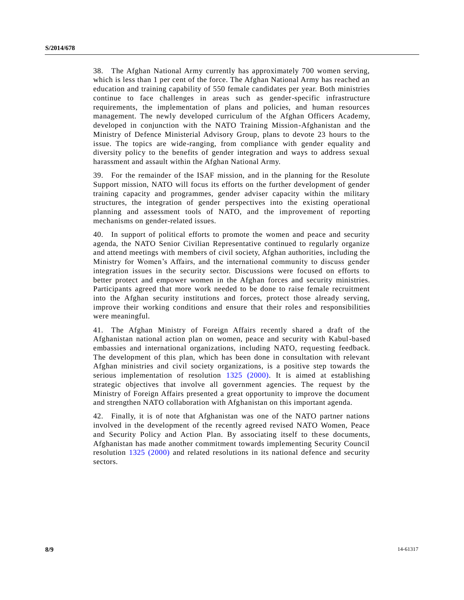38. The Afghan National Army currently has approximately 700 women serving, which is less than 1 per cent of the force. The Afghan National Army has reached an education and training capability of 550 female candidates per year. Both ministries continue to face challenges in areas such as gender-specific infrastructure requirements, the implementation of plans and policies, and human resources management. The newly developed curriculum of the Afghan Officers Academy, developed in conjunction with the NATO Training Mission-Afghanistan and the Ministry of Defence Ministerial Advisory Group, plans to devote 23 hours to the issue. The topics are wide-ranging, from compliance with gender equality and diversity policy to the benefits of gender integration and ways to address sexual harassment and assault within the Afghan National Army.

39. For the remainder of the ISAF mission, and in the planning for the Resolute Support mission, NATO will focus its efforts on the further development of gender training capacity and programmes, gender adviser capacity within the military structures, the integration of gender perspectives into the existing operational planning and assessment tools of NATO, and the improvement of reporting mechanisms on gender-related issues.

40. In support of political efforts to promote the women and peace and security agenda, the NATO Senior Civilian Representative continued to regularly organize and attend meetings with members of civil society, Afghan authorities, including the Ministry for Women's Affairs, and the international community to discuss gender integration issues in the security sector. Discussions were focused on efforts to better protect and empower women in the Afghan forces and security ministries. Participants agreed that more work needed to be done to raise female recruitment into the Afghan security institutions and forces, protect those already serving, improve their working conditions and ensure that their roles and responsibilities were meaningful.

41. The Afghan Ministry of Foreign Affairs recently shared a draft of the Afghanistan national action plan on women, peace and security with Kabul-based embassies and international organizations, including NATO, requesting feedback. The development of this plan, which has been done in consultation with relevant Afghan ministries and civil society organizations, is a positive step towards the serious implementation of resolution [1325 \(2000\).](http://undocs.org/S/RES/1325(2000)) It is aimed at establishing strategic objectives that involve all government agencies. The request by the Ministry of Foreign Affairs presented a great opportunity to improve the document and strengthen NATO collaboration with Afghanistan on this important agenda.

42. Finally, it is of note that Afghanistan was one of the NATO partner nations involved in the development of the recently agreed revised NATO Women, Peace and Security Policy and Action Plan. By associating itself to these documents, Afghanistan has made another commitment towards implementing Security Council resolution [1325 \(2000\)](http://undocs.org/S/RES/1325(2000)) and related resolutions in its national defence and security sectors.